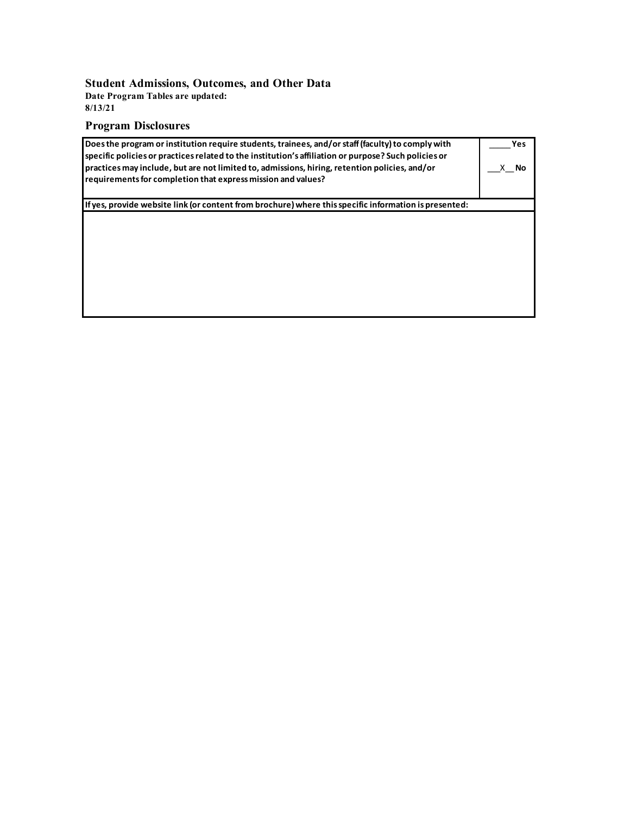#### **Student Admissions, Outcomes, and Other Data**

**Date Program Tables are updated: 8/13/21**

# **Program Disclosures**

| Does the program or institution require students, trainees, and/or staff (faculty) to comply with<br>specific policies or practices related to the institution's affiliation or purpose? Such policies or<br>practices may include, but are not limited to, admissions, hiring, retention policies, and/or<br>requirements for completion that express mission and values? | Yes<br>No |
|----------------------------------------------------------------------------------------------------------------------------------------------------------------------------------------------------------------------------------------------------------------------------------------------------------------------------------------------------------------------------|-----------|
| If yes, provide website link (or content from brochure) where this specific information is presented:                                                                                                                                                                                                                                                                      |           |
|                                                                                                                                                                                                                                                                                                                                                                            |           |
|                                                                                                                                                                                                                                                                                                                                                                            |           |
|                                                                                                                                                                                                                                                                                                                                                                            |           |
|                                                                                                                                                                                                                                                                                                                                                                            |           |
|                                                                                                                                                                                                                                                                                                                                                                            |           |
|                                                                                                                                                                                                                                                                                                                                                                            |           |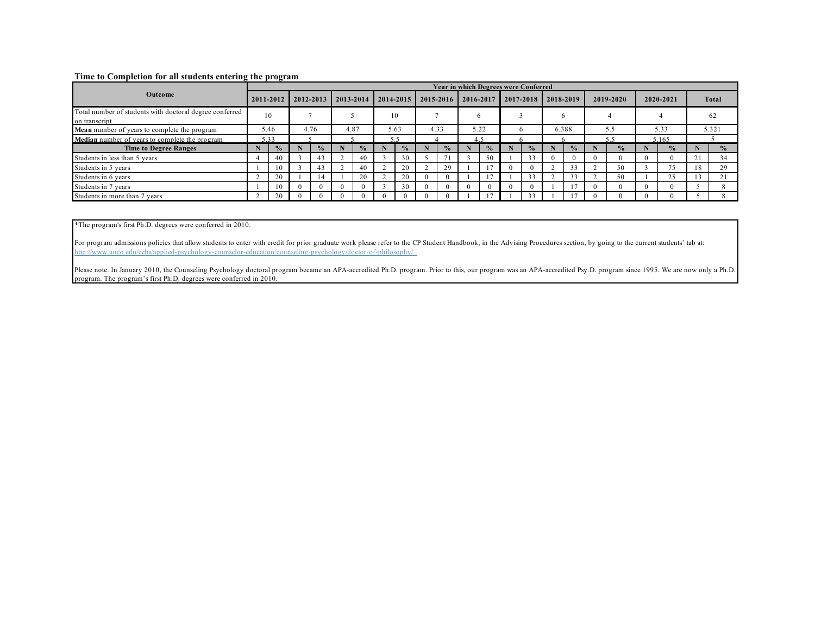#### **Time to Completion for all students entering the program**

|                                                                          |      |               |      |               |      |               |      |               |  | <b>Year in which Degrees were Conferred</b> |  |               |              |               |       |               |     |               |           |               |              |               |
|--------------------------------------------------------------------------|------|---------------|------|---------------|------|---------------|------|---------------|--|---------------------------------------------|--|---------------|--------------|---------------|-------|---------------|-----|---------------|-----------|---------------|--------------|---------------|
| Outcome                                                                  |      | 2011-2012     |      | 2012-2013     |      | $2013 - 2014$ |      | 2014-2015     |  | $2015 - 2016$                               |  | 2016-2017     |              | 2017-2018     |       | 2018-2019     |     | 2019-2020     | 2020-2021 |               | <b>Total</b> |               |
| Total number of students with doctoral degree conferred<br>on transcript | 10   |               |      |               |      |               | 10   |               |  |                                             |  |               |              |               |       |               |     |               |           |               | 62           |               |
| Mean number of years to complete the program                             | 5.46 |               | 4.76 |               | 4.87 |               | 5.63 |               |  | 4.33                                        |  | 5.22          | <sub>t</sub> |               | 6.388 |               | 5.5 |               | 5.33      |               | 5.321        |               |
| Median number of years to complete the program                           |      | 33            |      |               |      |               |      |               |  |                                             |  |               |              |               |       |               |     |               | 5.165     |               |              |               |
| <b>Time to Degree Ranges</b>                                             |      | $\frac{0}{2}$ |      | $\frac{6}{9}$ |      | $\frac{0}{0}$ |      | $\frac{0}{2}$ |  | $\frac{0}{2}$                               |  | $\frac{0}{2}$ | N            | $\frac{9}{6}$ |       | $\frac{0}{2}$ |     | $\frac{9}{6}$ |           | $\frac{1}{2}$ |              | $\frac{1}{2}$ |
| Students in less than 5 years                                            |      | 40            |      |               |      | 40            |      | 30            |  |                                             |  | 50            |              | 33            |       | $\theta$      |     |               |           |               |              | 34            |
| Students in 5 years                                                      |      | 10            |      |               |      | 40            |      | 20            |  | 29                                          |  |               |              |               |       | 33            |     | 50            |           | 75            | 18           | 29            |
| Students in 6 years                                                      |      | 20            |      | 14            |      | 20            |      | 20            |  |                                             |  |               |              | 33            |       | 33            |     | 50            |           | 25            |              | $^{\circ}$ 1  |
| Students in 7 years                                                      |      | 10            |      |               |      |               |      | 30            |  |                                             |  |               |              |               |       |               |     |               |           |               |              |               |
| Students in more than 7 years                                            |      | 20            |      |               |      |               |      |               |  |                                             |  |               |              | 33            |       |               |     |               |           |               |              |               |

\*The program's first Ph.D. degrees were conferred in 2010.

For program admissions policies that allow students to enter with credit for prior graduate work please refer to the CP Student Handbook, in the Advising Procedures section, by going to the current students' tab at: http://www.unco.edu/cebs/applied-psychology-counselor-education/counseling-psychology/doctor-of-philosophy/

Please note. In January 2010, the Counseling Psychology doctoral program became an APA-accredited Ph.D. program. Prior to this, our program was an APA-accredited Psy.D. program since 1995. We are now only a Ph.D. program. The program's first Ph.D. degrees were conferred in 2010.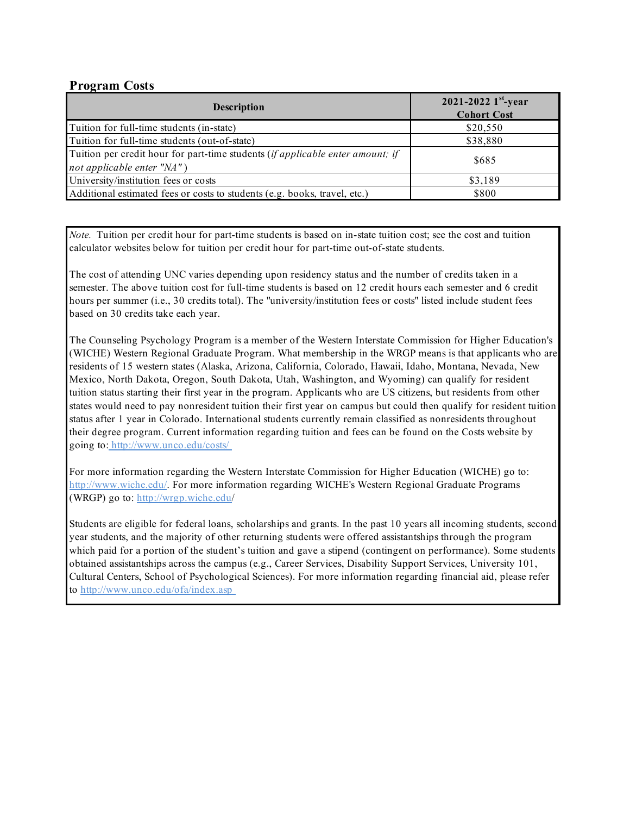# **Program Costs**

| <b>Description</b>                                                                                           | 2021-2022 $1^{st}$ -year<br><b>Cohort Cost</b> |
|--------------------------------------------------------------------------------------------------------------|------------------------------------------------|
| Tuition for full-time students (in-state)                                                                    | \$20,550                                       |
| Tuition for full-time students (out-of-state)                                                                | \$38,880                                       |
| Tuition per credit hour for part-time students (if applicable enter amount; if<br>not applicable enter "NA") | \$685                                          |
| University/institution fees or costs                                                                         | \$3,189                                        |
| Additional estimated fees or costs to students (e.g. books, travel, etc.)                                    | \$800                                          |

*Note.* Tuition per credit hour for part-time students is based on in-state tuition cost; see the cost and tuition calculator websites below for tuition per credit hour for part-time out-of-state students.

The cost of attending UNC varies depending upon residency status and the number of credits taken in a semester. The above tuition cost for full-time students is based on 12 credit hours each semester and 6 credit hours per summer (i.e., 30 credits total). The "university/institution fees or costs" listed include student fees based on 30 credits take each year.

The Counseling Psychology Program is a member of the Western Interstate Commission for Higher Education's (WICHE) Western Regional Graduate Program. What membership in the WRGP means is that applicants who are residents of 15 western states (Alaska, Arizona, California, Colorado, Hawaii, Idaho, Montana, Nevada, New Mexico, North Dakota, Oregon, South Dakota, Utah, Washington, and Wyoming) can qualify for resident tuition status starting their first year in the program. Applicants who are US citizens, but residents from other states would need to pay nonresident tuition their first year on campus but could then qualify for resident tuition status after 1 year in Colorado. International students currently remain classified as nonresidents throughout their degree program. Current information regarding tuition and fees can be found on the Costs website by going to: http://www.unco.edu/costs/

For more information regarding the Western Interstate Commission for Higher Education (WICHE) go to: http://www.wiche.edu/. For more information regarding WICHE's Western Regional Graduate Programs (WRGP) go to: http://wrgp.wiche.edu/

Students are eligible for federal loans, scholarships and grants. In the past 10 years all incoming students, second year students, and the majority of other returning students were offered assistantships through the program which paid for a portion of the student's tuition and gave a stipend (contingent on performance). Some students obtained assistantships across the campus (e.g., Career Services, Disability Support Services, University 101, Cultural Centers, School of Psychological Sciences). For more information regarding financial aid, please refer to http://www.unco.edu/ofa/index.asp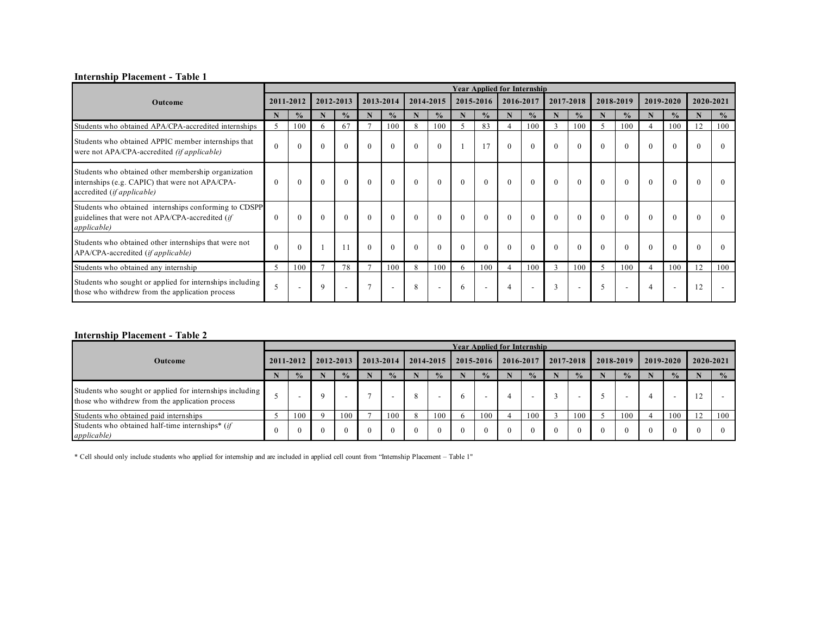#### **Internship Placement - Table 1**

|                                                                                                                                      |               |               |          |               |                |                          |          |                          |          | <b>Year Applied for Internship</b> |                |                          |              |                          |          |                          |          |               |           |                          |
|--------------------------------------------------------------------------------------------------------------------------------------|---------------|---------------|----------|---------------|----------------|--------------------------|----------|--------------------------|----------|------------------------------------|----------------|--------------------------|--------------|--------------------------|----------|--------------------------|----------|---------------|-----------|--------------------------|
| Outcome                                                                                                                              |               | 2011-2012     |          | 2012-2013     |                | 2013-2014                |          | 2014-2015                |          | 2015-2016                          |                | 2016-2017                |              | 2017-2018                |          | 2018-2019                |          | 2019-2020     | 2020-2021 |                          |
|                                                                                                                                      | N             | $\frac{0}{0}$ | N        | $\frac{0}{0}$ |                | $\frac{0}{2}$            |          | $\frac{0}{0}$            | N        | $\frac{0}{6}$                      |                | $\frac{0}{0}$            | N            | $\frac{0}{2}$            | N        | $\frac{0}{0}$            | N        | $\frac{0}{0}$ |           | $\frac{0}{0}$            |
| Students who obtained APA/CPA-accredited internships                                                                                 | 5             | 100           | 6        | 67            |                | 100                      | 8        | 100                      | 5        | 83                                 | $\overline{4}$ | 100                      |              | 100                      | 5        | 100                      |          | 100           | 12        | 100                      |
| Students who obtained APPIC member internships that<br>were not APA/CPA-accredited (if applicable)                                   | $\Omega$      | $\theta$      | $\theta$ | $\theta$      | $\theta$       | $\theta$                 | $\Omega$ | $\theta$                 |          |                                    |                | $\theta$                 | $\theta$     | $\theta$                 |          | $\theta$                 |          | $\Omega$      | $\theta$  | $\theta$                 |
| Students who obtained other membership organization<br>internships (e.g. CAPIC) that were not APA/CPA-<br>accredited (if applicable) | $\Omega$      | $\theta$      | $\theta$ | $\theta$      | $\theta$       | $\theta$                 | $\theta$ | $\theta$                 | $\theta$ | $\Omega$                           | $\Omega$       | $\theta$                 | $\mathbf{0}$ | $\theta$                 | $\theta$ | $\theta$                 | $\theta$ | $\theta$      | $\theta$  | $\Omega$                 |
| Students who obtained internships conforming to CDSPP<br>guidelines that were not APA/CPA-accredited (if<br><i>applicable</i> )      | $\Omega$      | $\Omega$      | $\Omega$ | $\Omega$      | $\theta$       | $\theta$                 | $\Omega$ | $\Omega$                 | $\theta$ | $\Omega$                           |                |                          |              | $\theta$                 |          | $\theta$                 |          | $\Omega$      |           | $\Omega$                 |
| Students who obtained other internships that were not<br>APA/CPA-accredited (if applicable)                                          | $\Omega$      | $\theta$      |          |               | $\theta$       | $\theta$                 | $\Omega$ | $\theta$                 | $\theta$ | $\Omega$                           |                |                          | $\theta$     | $\theta$                 |          | $\theta$                 | $\theta$ | $\Omega$      |           | $\theta$                 |
| Students who obtained any internship                                                                                                 | $\mathcal{L}$ | 100           |          | 78            | $\overline{ }$ | 100                      | 8        | 100                      | 6        | 100                                | 4              | 100                      | 3            | 100                      | 5        | 100                      |          | 100           | 12        | 100                      |
| Students who sought or applied for internships including<br>those who withdrew from the application process                          | 5             |               | 9        |               | $\overline{ }$ | $\overline{\phantom{a}}$ | 8        | $\overline{\phantom{a}}$ | 6        | . .                                | $\overline{4}$ | $\overline{\phantom{a}}$ | 3            | $\overline{\phantom{a}}$ | 5        | $\overline{\phantom{a}}$ |          |               | 12        | $\overline{\phantom{a}}$ |

#### **Internship Placement - Table 2**

|                                                                                                              |  |               |          |               |          |               |          |                |          |               | <b>Year Applied for Internship</b> |               |          |                          |          |           |          |               |           |               |
|--------------------------------------------------------------------------------------------------------------|--|---------------|----------|---------------|----------|---------------|----------|----------------|----------|---------------|------------------------------------|---------------|----------|--------------------------|----------|-----------|----------|---------------|-----------|---------------|
| <b>Outcome</b>                                                                                               |  | 2011-2012     |          | 2012-2013     |          | 2013-2014     |          | $12014 - 2015$ |          | 2015-2016     |                                    | 2016-2017     |          | 2017-2018                |          | 2018-2019 |          | 2019-2020     | 2020-2021 |               |
|                                                                                                              |  | $\frac{0}{2}$ |          | $\frac{0}{2}$ |          | $\frac{0}{2}$ |          | $\frac{0}{2}$  |          | $\frac{0}{2}$ |                                    | $\frac{0}{2}$ |          | $\frac{0}{2}$            |          | $\%$      |          | $\frac{0}{2}$ |           | $\frac{0}{2}$ |
| Students who sought or applied for internships including<br>those who with drew from the application process |  |               | Q        |               |          | -             |          | -              | h        |               | 4                                  |               |          | $\overline{\phantom{0}}$ |          |           |          |               |           |               |
| Students who obtained paid internships                                                                       |  | 100           |          | 100           |          | 100           |          | 100            |          | 100           |                                    | 100           |          | 100                      |          | 100       |          | 100           |           | 100           |
| Students who obtained half-time internships* (if<br><i>applicable</i> )                                      |  | $\theta$      | $\Omega$ | $\Omega$      | $\Omega$ | $\theta$      | $\Omega$ | $\theta$       | $\theta$ | $\left($      | $\Omega$                           |               | $\theta$ | $\theta$                 | $\Omega$ |           | $\Omega$ |               |           |               |

\* Cell should only include students who applied for internship and are included in applied cell count from "Internship Placement – Table 1"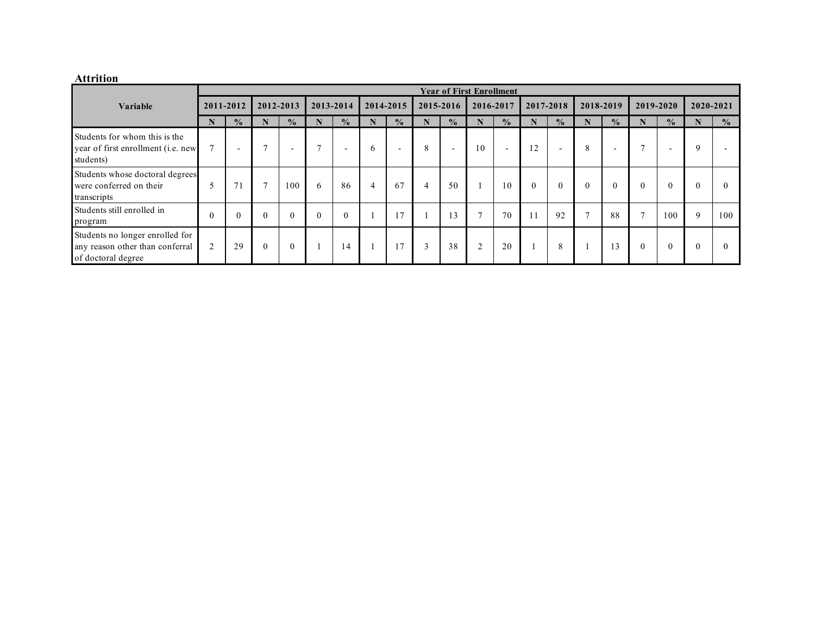### **Attrition**

|                                                                                          |                |                          |                |                          |                |                          |              |                          |           |                          | <b>Year of First Enrollment</b> |                          |           |                          |              |                          |              |                          |           |               |
|------------------------------------------------------------------------------------------|----------------|--------------------------|----------------|--------------------------|----------------|--------------------------|--------------|--------------------------|-----------|--------------------------|---------------------------------|--------------------------|-----------|--------------------------|--------------|--------------------------|--------------|--------------------------|-----------|---------------|
| <b>Variable</b>                                                                          | 2011-2012      |                          | 2012-2013      |                          | 2013-2014      |                          | 2014-2015    |                          | 2015-2016 |                          | 2016-2017                       |                          | 2017-2018 |                          | 2018-2019    |                          | 2019-2020    |                          | 2020-2021 |               |
|                                                                                          |                | $\frac{0}{0}$            |                | $\frac{0}{0}$            |                | $\frac{0}{0}$            |              | $\frac{0}{0}$            |           | $\frac{0}{0}$            |                                 | $\frac{0}{0}$            |           | $\frac{0}{0}$            |              | $\frac{0}{2}$            |              | $\frac{0}{2}$            |           | $\frac{0}{0}$ |
| Students for whom this is the<br>year of first enrollment (i.e. new<br>students)         | $\overline{ }$ | $\overline{\phantom{0}}$ | $\overline{ }$ | $\overline{\phantom{0}}$ | $\overline{ }$ | $\overline{\phantom{0}}$ | $\mathbf{a}$ | $\overline{\phantom{0}}$ | 8         | $\overline{\phantom{0}}$ | 10                              | $\overline{\phantom{0}}$ | 12        | $\overline{\phantom{0}}$ | 8            | $\overline{\phantom{0}}$ | $\mathbf{r}$ | $\overline{\phantom{0}}$ | 9         |               |
| Students whose doctoral degrees<br>were conferred on their<br>transcripts                |                | 71                       | $\overline{ }$ | 100                      | 6              | 86                       | 4            | 67                       | 4         | 50                       |                                 | 10                       |           |                          |              | $\theta$                 | $\Omega$     |                          | 0         | $\Omega$      |
| Students still enrolled in<br>program                                                    |                |                          |                | $\Omega$                 |                | $\Omega$                 |              |                          |           | 13                       | $\overline{ }$                  | 70                       |           | 92                       | $\mathbf{r}$ | 88                       | $\mathbf{r}$ | 100                      | 9         | 100           |
| Students no longer enrolled for<br>any reason other than conferral<br>of doctoral degree |                | 29                       | $\theta$       | $\theta$                 |                | 14                       |              | 17                       | 3         | 38                       | $\overline{2}$                  | 20                       |           | 8                        |              | 13                       | $\theta$     | $\Omega$                 | $\Omega$  | $\Omega$      |